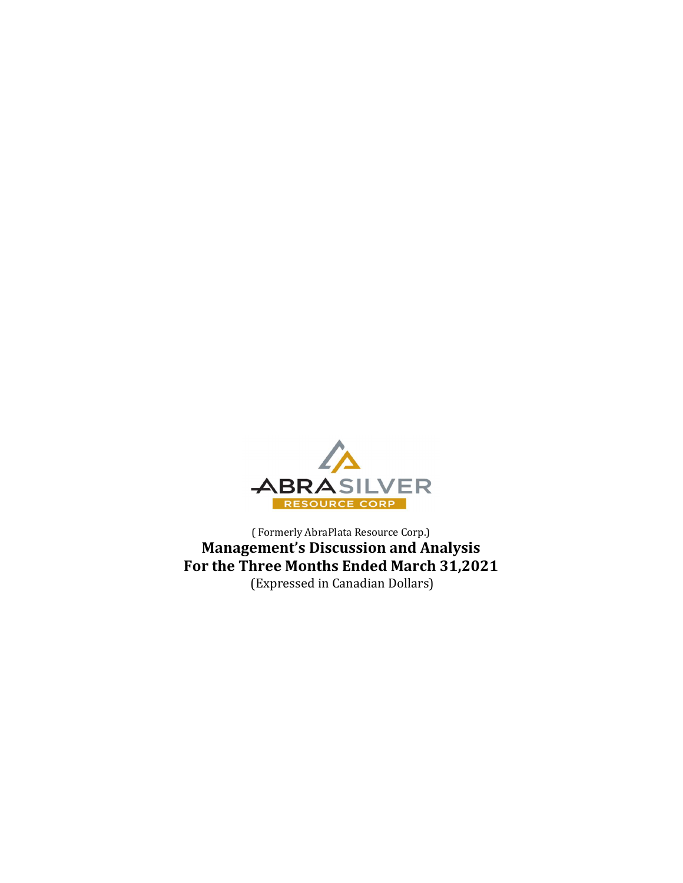

( Formerly AbraPlata Resource Corp.) Management's Discussion and Analysis For the Three Months Ended March 31,2021 (Expressed in Canadian Dollars)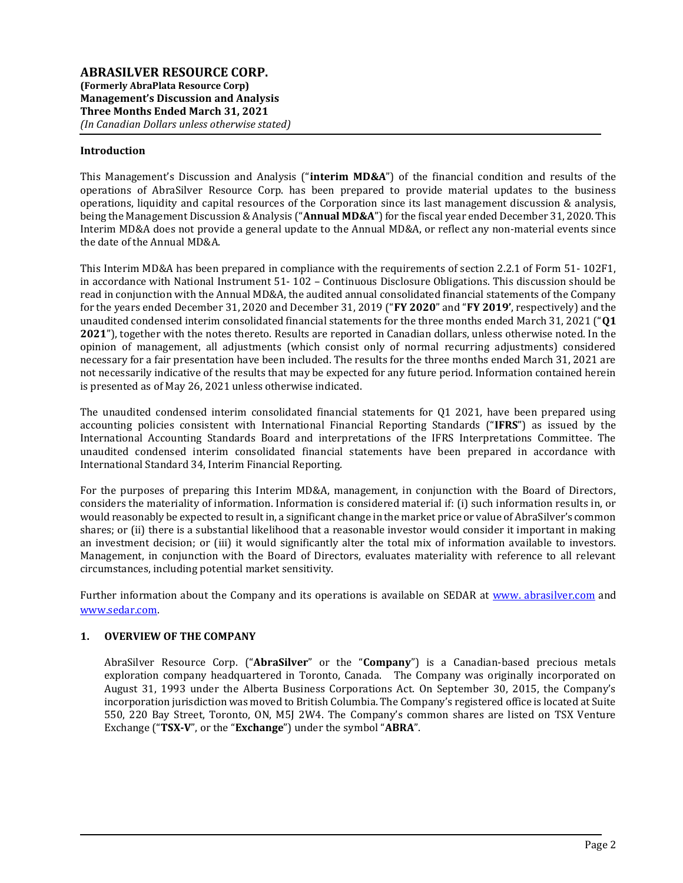## Introduction

This Management's Discussion and Analysis ("interim MD&A") of the financial condition and results of the operations of AbraSilver Resource Corp. has been prepared to provide material updates to the business operations, liquidity and capital resources of the Corporation since its last management discussion & analysis, being the Management Discussion & Analysis ("Annual MD&A") for the fiscal year ended December 31, 2020. This Interim MD&A does not provide a general update to the Annual MD&A, or reflect any non-material events since the date of the Annual MD&A.

This Interim MD&A has been prepared in compliance with the requirements of section 2.2.1 of Form 51- 102F1, in accordance with National Instrument 51- 102 – Continuous Disclosure Obligations. This discussion should be read in conjunction with the Annual MD&A, the audited annual consolidated financial statements of the Company for the years ended December 31, 2020 and December 31, 2019 ("FY 2020" and "FY 2019', respectively) and the unaudited condensed interim consolidated financial statements for the three months ended March 31, 2021 ("Q1 2021"), together with the notes thereto. Results are reported in Canadian dollars, unless otherwise noted. In the opinion of management, all adjustments (which consist only of normal recurring adjustments) considered necessary for a fair presentation have been included. The results for the three months ended March 31, 2021 are not necessarily indicative of the results that may be expected for any future period. Information contained herein is presented as of May 26, 2021 unless otherwise indicated.

The unaudited condensed interim consolidated financial statements for Q1 2021, have been prepared using accounting policies consistent with International Financial Reporting Standards ("IFRS") as issued by the International Accounting Standards Board and interpretations of the IFRS Interpretations Committee. The unaudited condensed interim consolidated financial statements have been prepared in accordance with International Standard 34, Interim Financial Reporting.

For the purposes of preparing this Interim MD&A, management, in conjunction with the Board of Directors, considers the materiality of information. Information is considered material if: (i) such information results in, or would reasonably be expected to result in, a significant change in the market price or value of AbraSilver's common shares; or (ii) there is a substantial likelihood that a reasonable investor would consider it important in making an investment decision; or (iii) it would significantly alter the total mix of information available to investors. Management, in conjunction with the Board of Directors, evaluates materiality with reference to all relevant circumstances, including potential market sensitivity.

Further information about the Company and its operations is available on SEDAR at www. abrasilver.com and www.sedar.com.

### 1. OVERVIEW OF THE COMPANY

AbraSilver Resource Corp. ("AbraSilver" or the "Company") is a Canadian-based precious metals exploration company headquartered in Toronto, Canada. The Company was originally incorporated on August 31, 1993 under the Alberta Business Corporations Act. On September 30, 2015, the Company's incorporation jurisdiction was moved to British Columbia. The Company's registered office is located at Suite 550, 220 Bay Street, Toronto, ON, M5J 2W4. The Company's common shares are listed on TSX Venture Exchange ("TSX-V", or the "Exchange") under the symbol "ABRA".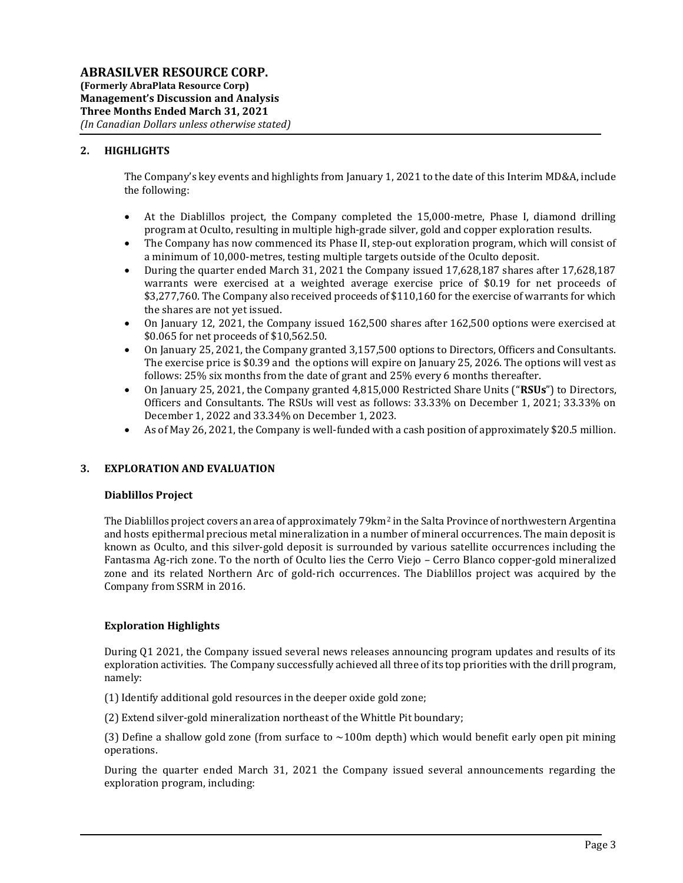# 2. HIGHLIGHTS

The Company's key events and highlights from January 1, 2021 to the date of this Interim MD&A, include the following:

- At the Diablillos project, the Company completed the 15,000-metre, Phase I, diamond drilling program at Oculto, resulting in multiple high-grade silver, gold and copper exploration results.
- The Company has now commenced its Phase II, step-out exploration program, which will consist of a minimum of 10,000-metres, testing multiple targets outside of the Oculto deposit.
- During the quarter ended March 31, 2021 the Company issued 17,628,187 shares after 17,628,187 warrants were exercised at a weighted average exercise price of \$0.19 for net proceeds of \$3,277,760. The Company also received proceeds of \$110,160 for the exercise of warrants for which the shares are not yet issued.
- On January 12, 2021, the Company issued 162,500 shares after 162,500 options were exercised at \$0.065 for net proceeds of \$10,562.50.
- On January 25, 2021, the Company granted 3,157,500 options to Directors, Officers and Consultants. The exercise price is \$0.39 and the options will expire on January 25, 2026. The options will vest as follows: 25% six months from the date of grant and 25% every 6 months thereafter.
- On January 25, 2021, the Company granted 4,815,000 Restricted Share Units ("RSUs") to Directors, Officers and Consultants. The RSUs will vest as follows: 33.33% on December 1, 2021; 33.33% on December 1, 2022 and 33.34% on December 1, 2023.
- As of May 26, 2021, the Company is well-funded with a cash position of approximately \$20.5 million.

# 3. EXPLORATION AND EVALUATION

# Diablillos Project

The Diablillos project covers an area of approximately  $79 \text{km}^2$  in the Salta Province of northwestern Argentina and hosts epithermal precious metal mineralization in a number of mineral occurrences. The main deposit is known as Oculto, and this silver-gold deposit is surrounded by various satellite occurrences including the Fantasma Ag-rich zone. To the north of Oculto lies the Cerro Viejo – Cerro Blanco copper-gold mineralized zone and its related Northern Arc of gold-rich occurrences. The Diablillos project was acquired by the Company from SSRM in 2016.

# Exploration Highlights

During Q1 2021, the Company issued several news releases announcing program updates and results of its exploration activities. The Company successfully achieved all three of its top priorities with the drill program, namely:

- (1) Identify additional gold resources in the deeper oxide gold zone;
- (2) Extend silver-gold mineralization northeast of the Whittle Pit boundary;

(3) Define a shallow gold zone (from surface to  $\sim$ 100m depth) which would benefit early open pit mining operations.

During the quarter ended March 31, 2021 the Company issued several announcements regarding the exploration program, including: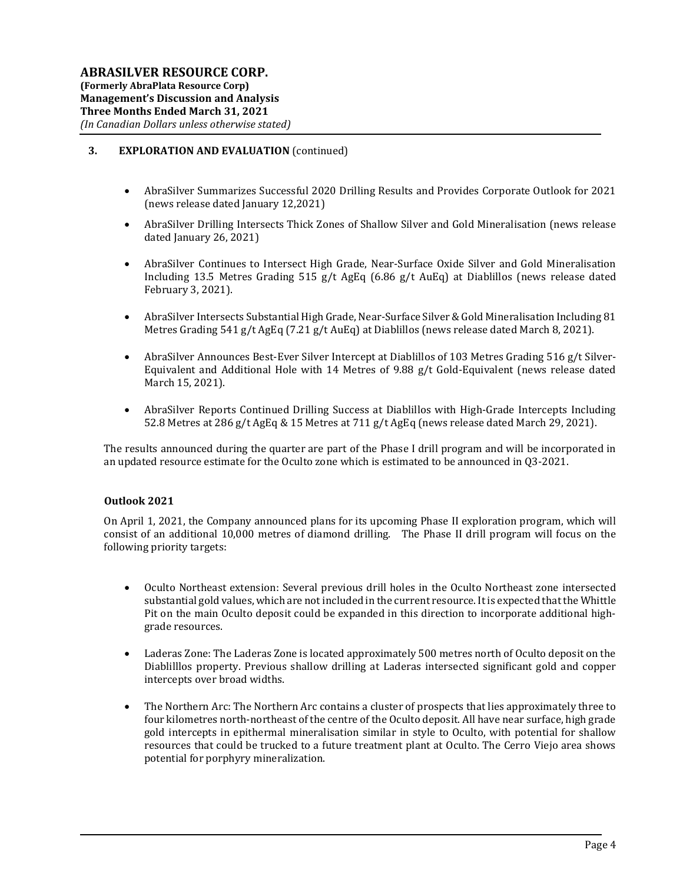# 3. EXPLORATION AND EVALUATION (continued)

- AbraSilver Summarizes Successful 2020 Drilling Results and Provides Corporate Outlook for 2021 (news release dated January 12,2021)
- AbraSilver Drilling Intersects Thick Zones of Shallow Silver and Gold Mineralisation (news release dated January 26, 2021)
- AbraSilver Continues to Intersect High Grade, Near-Surface Oxide Silver and Gold Mineralisation Including 13.5 Metres Grading 515 g/t AgEq (6.86 g/t AuEq) at Diablillos (news release dated February 3, 2021).
- AbraSilver Intersects Substantial High Grade, Near-Surface Silver & Gold Mineralisation Including 81 Metres Grading 541 g/t AgEq (7.21 g/t AuEq) at Diablillos (news release dated March 8, 2021).
- AbraSilver Announces Best-Ever Silver Intercept at Diablillos of 103 Metres Grading 516 g/t Silver-Equivalent and Additional Hole with 14 Metres of 9.88 g/t Gold-Equivalent (news release dated March 15, 2021).
- AbraSilver Reports Continued Drilling Success at Diablillos with High-Grade Intercepts Including 52.8 Metres at 286 g/t AgEq & 15 Metres at 711 g/t AgEq (news release dated March 29, 2021).

The results announced during the quarter are part of the Phase I drill program and will be incorporated in an updated resource estimate for the Oculto zone which is estimated to be announced in Q3-2021.

### Outlook 2021

On April 1, 2021, the Company announced plans for its upcoming Phase II exploration program, which will consist of an additional 10,000 metres of diamond drilling. The Phase II drill program will focus on the following priority targets:

- Oculto Northeast extension: Several previous drill holes in the Oculto Northeast zone intersected substantial gold values, which are not included in the current resource. It is expected that the Whittle Pit on the main Oculto deposit could be expanded in this direction to incorporate additional highgrade resources.
- Laderas Zone: The Laderas Zone is located approximately 500 metres north of Oculto deposit on the Diablilllos property. Previous shallow drilling at Laderas intersected significant gold and copper intercepts over broad widths.
- The Northern Arc: The Northern Arc contains a cluster of prospects that lies approximately three to four kilometres north-northeast of the centre of the Oculto deposit. All have near surface, high grade gold intercepts in epithermal mineralisation similar in style to Oculto, with potential for shallow resources that could be trucked to a future treatment plant at Oculto. The Cerro Viejo area shows potential for porphyry mineralization.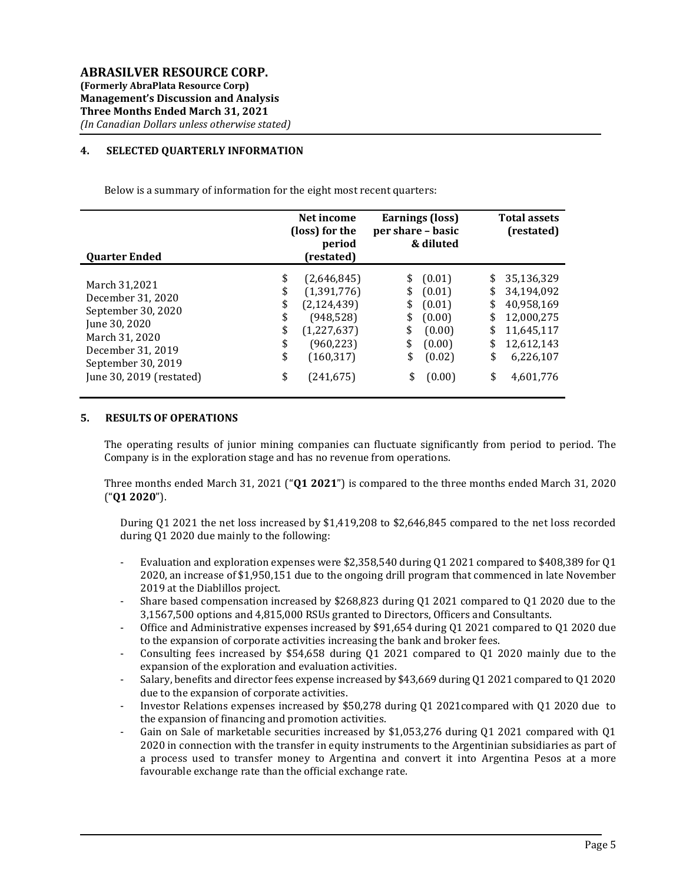## 4. SELECTED QUARTERLY INFORMATION

Below is a summary of information for the eight most recent quarters:

| <b>Quarter Ended</b>     | Net income<br>(loss) for the<br>period<br>(restated) |               | <b>Earnings (loss)</b><br>per share – basic<br>& diluted |        | <b>Total assets</b><br>(restated) |            |
|--------------------------|------------------------------------------------------|---------------|----------------------------------------------------------|--------|-----------------------------------|------------|
| March 31,2021            | \$                                                   | (2,646,845)   | \$                                                       | (0.01) | \$                                | 35,136,329 |
| December 31, 2020        | \$                                                   | (1,391,776)   | \$                                                       | (0.01) | \$                                | 34,194,092 |
| September 30, 2020       | \$                                                   | (2, 124, 439) | \$                                                       | (0.01) | \$                                | 40,958,169 |
| June 30, 2020            | \$                                                   | (948, 528)    | \$                                                       | (0.00) | \$                                | 12,000,275 |
| March 31, 2020           | \$                                                   | (1,227,637)   | \$                                                       | (0.00) | \$                                | 11,645,117 |
| December 31, 2019        | \$                                                   | (960, 223)    | \$                                                       | (0.00) | \$                                | 12,612,143 |
| September 30, 2019       | \$                                                   | (160, 317)    | \$                                                       | (0.02) | \$                                | 6,226,107  |
| June 30, 2019 (restated) | \$                                                   | (241, 675)    | \$                                                       | (0.00) | \$                                | 4,601,776  |

### 5. RESULTS OF OPERATIONS

The operating results of junior mining companies can fluctuate significantly from period to period. The Company is in the exploration stage and has no revenue from operations.

Three months ended March 31, 2021 (" $Q1 2021$ ") is compared to the three months ended March 31, 2020 ("Q1 2020").

During Q1 2021 the net loss increased by \$1,419,208 to \$2,646,845 compared to the net loss recorded during Q1 2020 due mainly to the following:

- Evaluation and exploration expenses were \$2,358,540 during Q1 2021 compared to \$408,389 for Q1 2020, an increase of \$1,950,151 due to the ongoing drill program that commenced in late November 2019 at the Diablillos project.
- Share based compensation increased by \$268,823 during Q1 2021 compared to Q1 2020 due to the 3,1567,500 options and 4,815,000 RSUs granted to Directors, Officers and Consultants.
- Office and Administrative expenses increased by \$91,654 during Q1 2021 compared to Q1 2020 due to the expansion of corporate activities increasing the bank and broker fees.
- Consulting fees increased by \$54,658 during Q1 2021 compared to Q1 2020 mainly due to the expansion of the exploration and evaluation activities.
- Salary, benefits and director fees expense increased by \$43,669 during Q1 2021 compared to Q1 2020 due to the expansion of corporate activities.
- Investor Relations expenses increased by \$50,278 during Q1 2021compared with Q1 2020 due to the expansion of financing and promotion activities.
- Gain on Sale of marketable securities increased by \$1,053,276 during Q1 2021 compared with Q1 2020 in connection with the transfer in equity instruments to the Argentinian subsidiaries as part of a process used to transfer money to Argentina and convert it into Argentina Pesos at a more favourable exchange rate than the official exchange rate.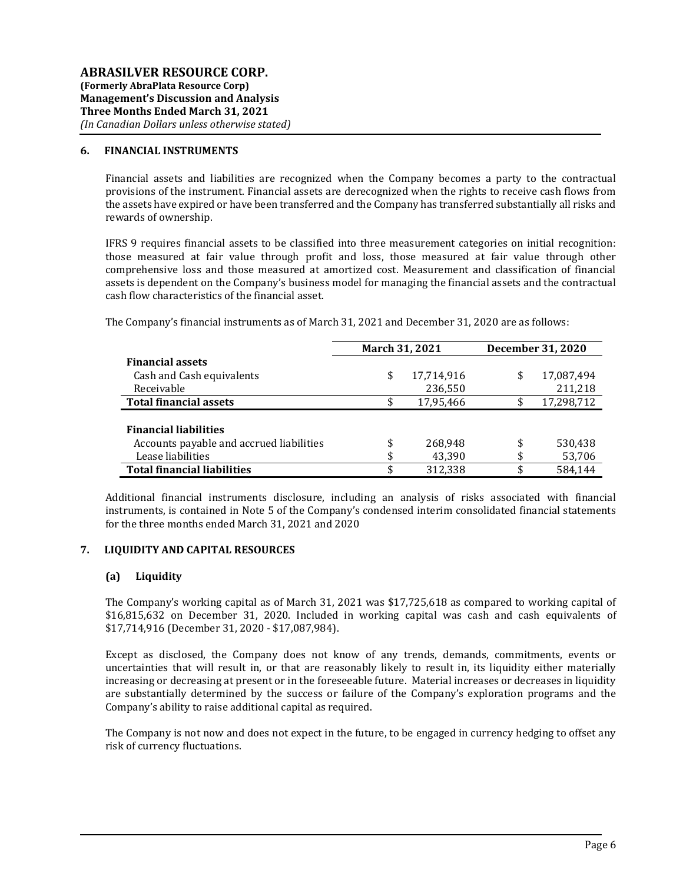### 6. FINANCIAL INSTRUMENTS

Financial assets and liabilities are recognized when the Company becomes a party to the contractual provisions of the instrument. Financial assets are derecognized when the rights to receive cash flows from the assets have expired or have been transferred and the Company has transferred substantially all risks and rewards of ownership.

IFRS 9 requires financial assets to be classified into three measurement categories on initial recognition: those measured at fair value through profit and loss, those measured at fair value through other comprehensive loss and those measured at amortized cost. Measurement and classification of financial assets is dependent on the Company's business model for managing the financial assets and the contractual cash flow characteristics of the financial asset.

|                                          | March 31, 2021 |            | December 31, 2020 |
|------------------------------------------|----------------|------------|-------------------|
| <b>Financial assets</b>                  |                |            |                   |
| Cash and Cash equivalents                | \$             | 17,714,916 | \$<br>17,087,494  |
| Receivable                               |                | 236,550    | 211,218           |
| <b>Total financial assets</b>            | \$             | 17,95,466  | \$<br>17,298,712  |
|                                          |                |            |                   |
| <b>Financial liabilities</b>             |                |            |                   |
| Accounts payable and accrued liabilities | \$             | 268,948    | \$<br>530,438     |
| Lease liabilities                        |                | 43,390     | \$<br>53,706      |
| <b>Total financial liabilities</b>       |                | 312,338    | \$<br>584.144     |

The Company's financial instruments as of March 31, 2021 and December 31, 2020 are as follows:

Additional financial instruments disclosure, including an analysis of risks associated with financial instruments, is contained in Note 5 of the Company's condensed interim consolidated financial statements for the three months ended March 31, 2021 and 2020

### 7. LIQUIDITY AND CAPITAL RESOURCES

## (a) Liquidity

The Company's working capital as of March 31, 2021 was \$17,725,618 as compared to working capital of \$16,815,632 on December 31, 2020. Included in working capital was cash and cash equivalents of \$17,714,916 (December 31, 2020 - \$17,087,984).

Except as disclosed, the Company does not know of any trends, demands, commitments, events or uncertainties that will result in, or that are reasonably likely to result in, its liquidity either materially increasing or decreasing at present or in the foreseeable future. Material increases or decreases in liquidity are substantially determined by the success or failure of the Company's exploration programs and the Company's ability to raise additional capital as required.

The Company is not now and does not expect in the future, to be engaged in currency hedging to offset any risk of currency fluctuations.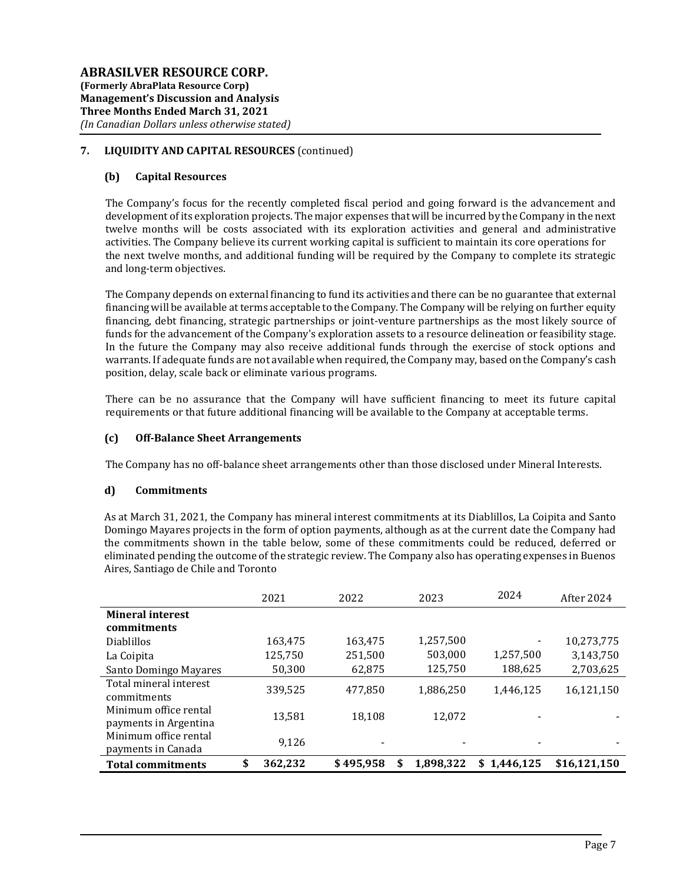# 7. LIQUIDITY AND CAPITAL RESOURCES (continued)

# (b) Capital Resources

The Company's focus for the recently completed fiscal period and going forward is the advancement and development of its exploration projects. The major expenses that will be incurred by the Company in the next twelve months will be costs associated with its exploration activities and general and administrative activities. The Company believe its current working capital is sufficient to maintain its core operations for the next twelve months, and additional funding will be required by the Company to complete its strategic and long-term objectives.

The Company depends on external financing to fund its activities and there can be no guarantee that external financing will be available at terms acceptable to the Company. The Company will be relying on further equity financing, debt financing, strategic partnerships or joint-venture partnerships as the most likely source of funds for the advancement of the Company's exploration assets to a resource delineation or feasibility stage. In the future the Company may also receive additional funds through the exercise of stock options and warrants. If adequate funds are not available when required, the Company may, based on the Company's cash position, delay, scale back or eliminate various programs.

There can be no assurance that the Company will have sufficient financing to meet its future capital requirements or that future additional financing will be available to the Company at acceptable terms.

## (c) Off-Balance Sheet Arrangements

The Company has no off-balance sheet arrangements other than those disclosed under Mineral Interests.

### d) Commitments

As at March 31, 2021, the Company has mineral interest commitments at its Diablillos, La Coipita and Santo Domingo Mayares projects in the form of option payments, although as at the current date the Company had the commitments shown in the table below, some of these commitments could be reduced, deferred or eliminated pending the outcome of the strategic review. The Company also has operating expenses in Buenos Aires, Santiago de Chile and Toronto

|                                                | 2021          | 2022                     | 2023            | 2024            | After 2024   |
|------------------------------------------------|---------------|--------------------------|-----------------|-----------------|--------------|
| <b>Mineral interest</b><br>commitments         |               |                          |                 |                 |              |
| <b>Diablillos</b>                              | 163,475       | 163,475                  | 1,257,500       |                 | 10,273,775   |
| La Coipita                                     | 125,750       | 251,500                  | 503,000         | 1,257,500       | 3,143,750    |
| Santo Domingo Mayares                          | 50,300        | 62,875                   | 125,750         | 188,625         | 2,703,625    |
| Total mineral interest<br>commitments          | 339,525       | 477,850                  | 1,886,250       | 1.446.125       | 16,121,150   |
| Minimum office rental<br>payments in Argentina | 13,581        | 18,108                   | 12,072          |                 |              |
| Minimum office rental<br>payments in Canada    | 9.126         | $\overline{\phantom{a}}$ |                 |                 |              |
| <b>Total commitments</b>                       | \$<br>362,232 | \$495,958                | \$<br>1.898.322 | 1.446.125<br>\$ | \$16.121.150 |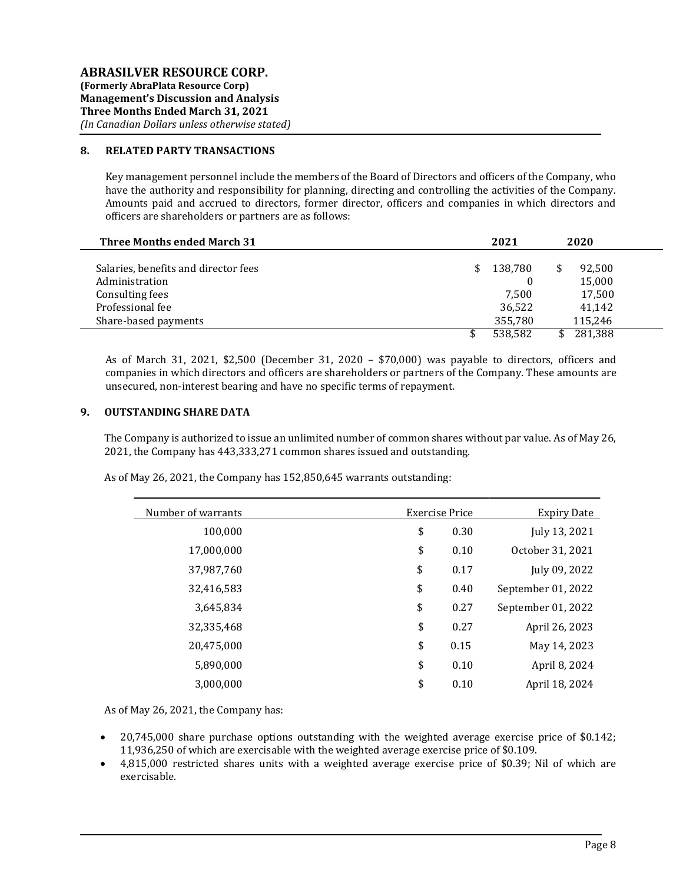## 8. RELATED PARTY TRANSACTIONS

Key management personnel include the members of the Board of Directors and officers of the Company, who have the authority and responsibility for planning, directing and controlling the activities of the Company. Amounts paid and accrued to directors, former director, officers and companies in which directors and officers are shareholders or partners are as follows:

| <b>Three Months ended March 31</b>   | 2021          | 2020    |  |
|--------------------------------------|---------------|---------|--|
| Salaries, benefits and director fees | \$<br>138,780 | 92,500  |  |
| Administration                       |               | 15,000  |  |
| Consulting fees                      | 7.500         | 17,500  |  |
| Professional fee                     | 36,522        | 41,142  |  |
| Share-based payments                 | 355,780       | 115.246 |  |
|                                      | 538.582       | 281.388 |  |

As of March 31, 2021, \$2,500 (December 31, 2020 – \$70,000) was payable to directors, officers and companies in which directors and officers are shareholders or partners of the Company. These amounts are unsecured, non-interest bearing and have no specific terms of repayment.

## 9. OUTSTANDING SHARE DATA

The Company is authorized to issue an unlimited number of common shares without par value. As of May 26, 2021, the Company has 443,333,271 common shares issued and outstanding.

As of May 26, 2021, the Company has 152,850,645 warrants outstanding:

| Number of warrants | <b>Exercise Price</b> | <b>Expiry Date</b> |
|--------------------|-----------------------|--------------------|
| 100,000            | \$<br>0.30            | July 13, 2021      |
| 17,000,000         | \$<br>0.10            | October 31, 2021   |
| 37,987,760         | \$<br>0.17            | July 09, 2022      |
| 32,416,583         | \$<br>0.40            | September 01, 2022 |
| 3,645,834          | \$<br>0.27            | September 01, 2022 |
| 32,335,468         | \$<br>0.27            | April 26, 2023     |
| 20,475,000         | \$<br>0.15            | May 14, 2023       |
| 5,890,000          | \$<br>0.10            | April 8, 2024      |
| 3,000,000          | \$<br>0.10            | April 18, 2024     |

As of May 26, 2021, the Company has:

- 20,745,000 share purchase options outstanding with the weighted average exercise price of \$0.142; 11,936,250 of which are exercisable with the weighted average exercise price of \$0.109.
- 4,815,000 restricted shares units with a weighted average exercise price of \$0.39; Nil of which are exercisable.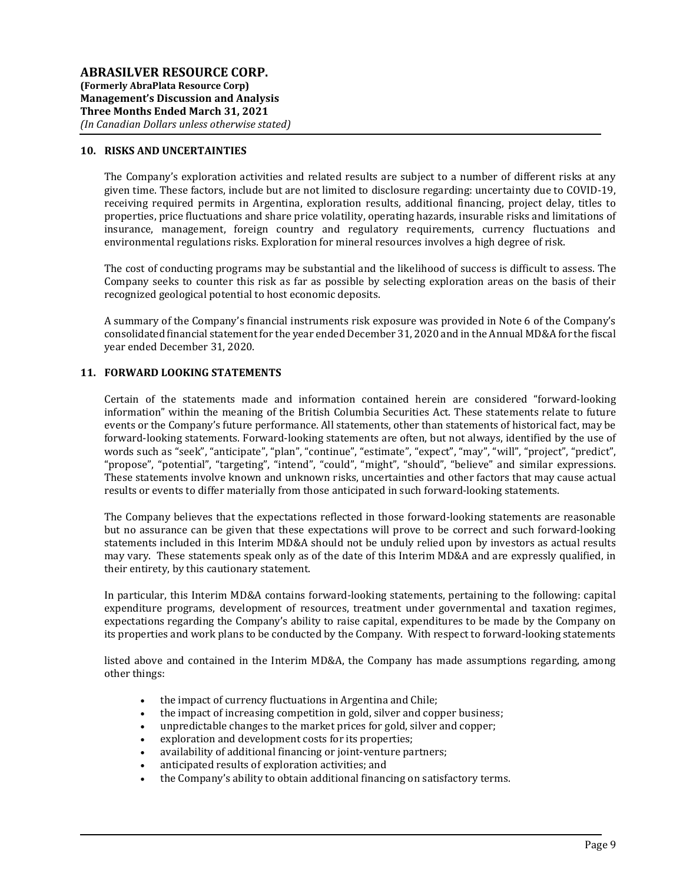### 10. RISKS AND UNCERTAINTIES

The Company's exploration activities and related results are subject to a number of different risks at any given time. These factors, include but are not limited to disclosure regarding: uncertainty due to COVID-19, receiving required permits in Argentina, exploration results, additional financing, project delay, titles to properties, price fluctuations and share price volatility, operating hazards, insurable risks and limitations of insurance, management, foreign country and regulatory requirements, currency fluctuations and environmental regulations risks. Exploration for mineral resources involves a high degree of risk.

The cost of conducting programs may be substantial and the likelihood of success is difficult to assess. The Company seeks to counter this risk as far as possible by selecting exploration areas on the basis of their recognized geological potential to host economic deposits.

A summary of the Company's financial instruments risk exposure was provided in Note 6 of the Company's consolidated financial statement for the year ended December 31, 2020 and in the Annual MD&A for the fiscal year ended December 31, 2020.

### 11. FORWARD LOOKING STATEMENTS

Certain of the statements made and information contained herein are considered "forward-looking information" within the meaning of the British Columbia Securities Act. These statements relate to future events or the Company's future performance. All statements, other than statements of historical fact, may be forward-looking statements. Forward-looking statements are often, but not always, identified by the use of words such as "seek", "anticipate", "plan", "continue", "estimate", "expect", "may", "will", "project", "predict", "propose", "potential", "targeting", "intend", "could", "might", "should", "believe" and similar expressions. These statements involve known and unknown risks, uncertainties and other factors that may cause actual results or events to differ materially from those anticipated in such forward-looking statements.

The Company believes that the expectations reflected in those forward-looking statements are reasonable but no assurance can be given that these expectations will prove to be correct and such forward-looking statements included in this Interim MD&A should not be unduly relied upon by investors as actual results may vary. These statements speak only as of the date of this Interim MD&A and are expressly qualified, in their entirety, by this cautionary statement.

In particular, this Interim MD&A contains forward-looking statements, pertaining to the following: capital expenditure programs, development of resources, treatment under governmental and taxation regimes, expectations regarding the Company's ability to raise capital, expenditures to be made by the Company on its properties and work plans to be conducted by the Company. With respect to forward-looking statements

listed above and contained in the Interim MD&A, the Company has made assumptions regarding, among other things:

- the impact of currency fluctuations in Argentina and Chile;
- the impact of increasing competition in gold, silver and copper business;
- unpredictable changes to the market prices for gold, silver and copper;
- exploration and development costs for its properties;
- availability of additional financing or joint-venture partners;
- anticipated results of exploration activities; and
- the Company's ability to obtain additional financing on satisfactory terms.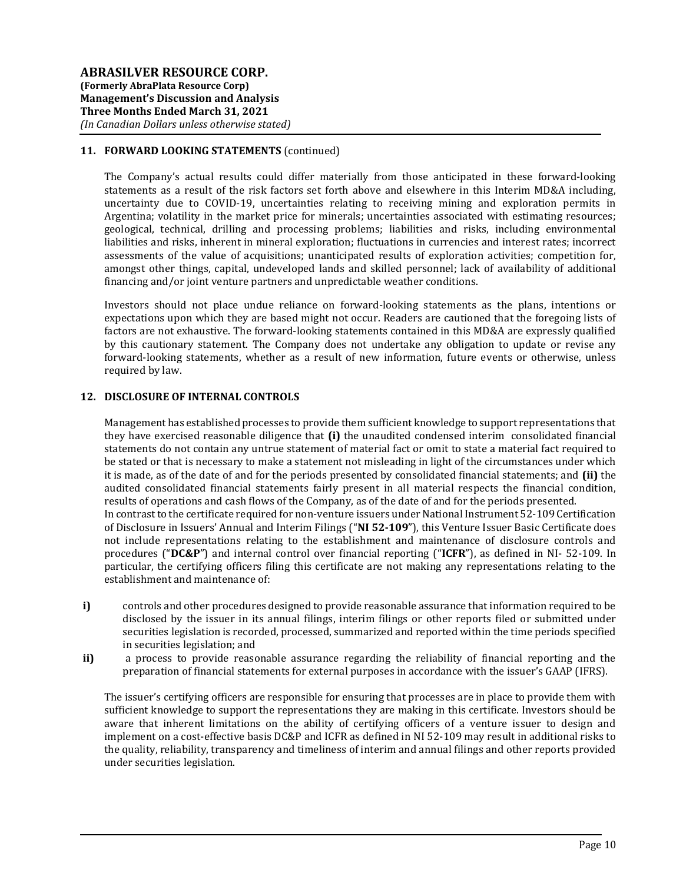# 11. FORWARD LOOKING STATEMENTS (continued)

The Company's actual results could differ materially from those anticipated in these forward-looking statements as a result of the risk factors set forth above and elsewhere in this Interim MD&A including, uncertainty due to COVID-19, uncertainties relating to receiving mining and exploration permits in Argentina; volatility in the market price for minerals; uncertainties associated with estimating resources; geological, technical, drilling and processing problems; liabilities and risks, including environmental liabilities and risks, inherent in mineral exploration; fluctuations in currencies and interest rates; incorrect assessments of the value of acquisitions; unanticipated results of exploration activities; competition for, amongst other things, capital, undeveloped lands and skilled personnel; lack of availability of additional financing and/or joint venture partners and unpredictable weather conditions.

Investors should not place undue reliance on forward-looking statements as the plans, intentions or expectations upon which they are based might not occur. Readers are cautioned that the foregoing lists of factors are not exhaustive. The forward-looking statements contained in this MD&A are expressly qualified by this cautionary statement. The Company does not undertake any obligation to update or revise any forward-looking statements, whether as a result of new information, future events or otherwise, unless required by law.

# 12. DISCLOSURE OF INTERNAL CONTROLS

Management has established processes to provide them sufficient knowledge to support representations that they have exercised reasonable diligence that  $(i)$  the unaudited condensed interim consolidated financial statements do not contain any untrue statement of material fact or omit to state a material fact required to be stated or that is necessary to make a statement not misleading in light of the circumstances under which it is made, as of the date of and for the periods presented by consolidated financial statements; and (ii) the audited consolidated financial statements fairly present in all material respects the financial condition, results of operations and cash flows of the Company, as of the date of and for the periods presented. In contrast to the certificate required for non-venture issuers under National Instrument 52-109 Certification of Disclosure in Issuers' Annual and Interim Filings ("NI 52-109"), this Venture Issuer Basic Certificate does not include representations relating to the establishment and maintenance of disclosure controls and procedures ("DC&P") and internal control over financial reporting ("ICFR"), as defined in NI- 52-109. In particular, the certifying officers filing this certificate are not making any representations relating to the establishment and maintenance of:

- i) controls and other procedures designed to provide reasonable assurance that information required to be disclosed by the issuer in its annual filings, interim filings or other reports filed or submitted under securities legislation is recorded, processed, summarized and reported within the time periods specified in securities legislation; and
- ii) a process to provide reasonable assurance regarding the reliability of financial reporting and the preparation of financial statements for external purposes in accordance with the issuer's GAAP (IFRS).

The issuer's certifying officers are responsible for ensuring that processes are in place to provide them with sufficient knowledge to support the representations they are making in this certificate. Investors should be aware that inherent limitations on the ability of certifying officers of a venture issuer to design and implement on a cost-effective basis DC&P and ICFR as defined in NI 52-109 may result in additional risks to the quality, reliability, transparency and timeliness of interim and annual filings and other reports provided under securities legislation.